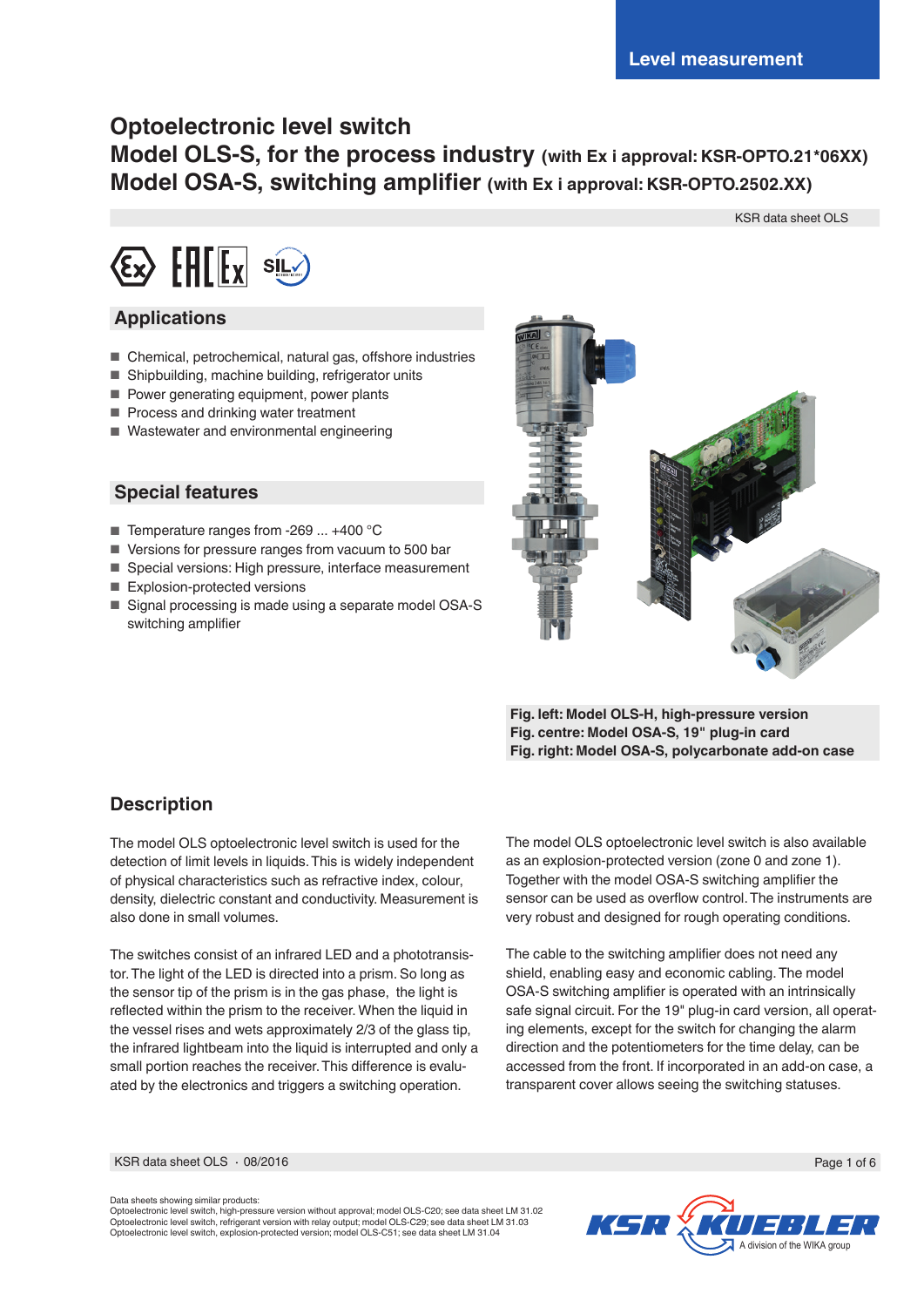# **Optoelectronic level switch**

**Model OLS-S, for the process industry (with Ex i approval: KSR-OPTO.21\*06XX) Model OSA-S, switching amplifier (with Ex i approval: KSR-OPTO.2502.XX)**

KSR data sheet OLS



# **Applications**

- Chemical, petrochemical, natural gas, offshore industries
- Shipbuilding, machine building, refrigerator units
- Power generating equipment, power plants
- Process and drinking water treatment
- Wastewater and environmental engineering

## **Special features**

- Temperature ranges from -269 ... +400 °C
- Versions for pressure ranges from vacuum to 500 bar
- Special versions: High pressure, interface measurement
- Explosion-protected versions
- Signal processing is made using a separate model OSA-S switching amplifier



**Fig. left: Model OLS-H, high-pressure version Fig. centre: Model OSA-S, 19" plug-in card Fig. right: Model OSA-S, polycarbonate add-on case**

## **Description**

The model OLS optoelectronic level switch is used for the detection of limit levels in liquids. This is widely independent of physical characteristics such as refractive index, colour, density, dielectric constant and conductivity. Measurement is also done in small volumes.

The switches consist of an infrared LED and a phototransistor. The light of the LED is directed into a prism. So long as the sensor tip of the prism is in the gas phase, the light is reflected within the prism to the receiver. When the liquid in the vessel rises and wets approximately 2/3 of the glass tip, the infrared lightbeam into the liquid is interrupted and only a small portion reaches the receiver. This difference is evaluated by the electronics and triggers a switching operation.

The model OLS optoelectronic level switch is also available as an explosion-protected version (zone 0 and zone 1). Together with the model OSA-S switching amplifier the sensor can be used as overflow control. The instruments are very robust and designed for rough operating conditions.

The cable to the switching amplifier does not need any shield, enabling easy and economic cabling. The model OSA-S switching amplifier is operated with an intrinsically safe signal circuit. For the 19" plug-in card version, all operating elements, except for the switch for changing the alarm direction and the potentiometers for the time delay, can be accessed from the front. If incorporated in an add-on case, a transparent cover allows seeing the switching statuses.

KSR data sheet OLS ∙ 08/2016

Data sheets showing similar products:

Optoelectronic level switch, high-pressure version without approval; model OLS-C20; see data sheet LM 31.02 Optoelectronic level switch, refrigerant version with relay output; model OLS-C29; see data sheet LM 31.03 Optoelectronic level switch, explosion-protected version; model OLS-C51; see data sheet LM 31.04



Page 1 of 6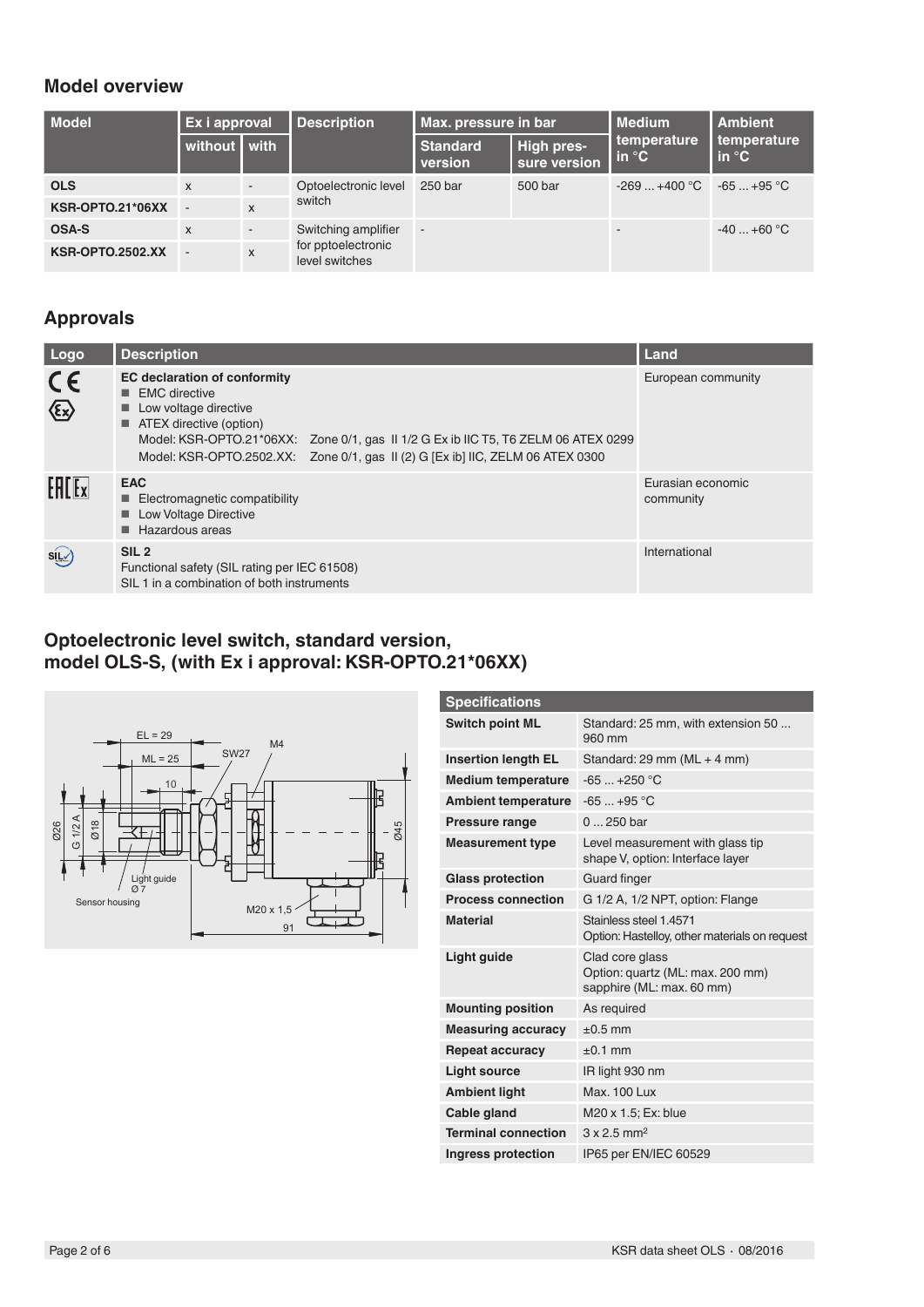# **Model overview**

| Model                   | Ex i approval |                          | <b>Description</b>                   | Max. pressure in bar       |                            | Medium                  | <b>Ambient</b>         |
|-------------------------|---------------|--------------------------|--------------------------------------|----------------------------|----------------------------|-------------------------|------------------------|
|                         | without with  |                          |                                      | <b>Standard</b><br>version | High pres-<br>sure version | temperature<br>l in °C⊹ | temperature<br>∣ in °C |
| <b>OLS</b>              | X             | $\overline{\phantom{a}}$ | Optoelectronic level<br>switch       | 250 bar                    | 500 bar                    | $-269+400 °C$           | $-65+95$ °C            |
| <b>KSR-OPTO.21*06XX</b> |               | X                        |                                      |                            |                            |                         |                        |
| <b>OSA-S</b>            | X             | $\overline{\phantom{a}}$ | Switching amplifier                  |                            |                            |                         | $-40+60$ °C            |
| <b>KSR-OPTO.2502.XX</b> |               | X                        | for pptoelectronic<br>level switches |                            |                            |                         |                        |

# **Approvals**

| Logo                                                             | <b>Description</b>                                                                                                                                                                                                                                                                                | Land                           |
|------------------------------------------------------------------|---------------------------------------------------------------------------------------------------------------------------------------------------------------------------------------------------------------------------------------------------------------------------------------------------|--------------------------------|
| $c\epsilon$<br>$\langle \overline{\epsilon_{\mathsf{x}}}\rangle$ | <b>EC declaration of conformity</b><br>$\blacksquare$ EMC directive<br>Low voltage directive<br>■ ATEX directive (option)<br>Model: KSR-OPTO.21*06XX: Zone 0/1, gas II 1/2 G Ex ib IIC T5, T6 ZELM 06 ATEX 0299<br>Model: KSR-OPTO.2502.XX: Zone 0/1, gas II (2) G [Ex ib] IIC, ZELM 06 ATEX 0300 | European community             |
| <b>EHLEx</b>                                                     | <b>EAC</b><br>Electromagnetic compatibility<br>Low Voltage Directive<br>Hazardous areas                                                                                                                                                                                                           | Eurasian economic<br>community |
| <b>SILV</b>                                                      | SIL <sub>2</sub><br>Functional safety (SIL rating per IEC 61508)<br>SIL 1 in a combination of both instruments                                                                                                                                                                                    | International                  |

# **Optoelectronic level switch, standard version, model OLS-S, (with Ex i approval: KSR-OPTO.21\*06XX)**



| <b>Specifications</b>      |                                                                                  |
|----------------------------|----------------------------------------------------------------------------------|
| <b>Switch point ML</b>     | Standard: 25 mm, with extension 50<br>960 mm                                     |
| <b>Insertion length EL</b> | Standard: 29 mm ( $ML + 4$ mm)                                                   |
| <b>Medium temperature</b>  | $-65+250$ °C                                                                     |
| <b>Ambient temperature</b> | $-65+95$ °C                                                                      |
| <b>Pressure range</b>      | $0250$ bar                                                                       |
| <b>Measurement type</b>    | Level measurement with glass tip<br>shape V, option: Interface layer             |
| <b>Glass protection</b>    | Guard finger                                                                     |
| <b>Process connection</b>  | G 1/2 A, 1/2 NPT, option: Flange                                                 |
| <b>Material</b>            | Stainless steel 1.4571<br>Option: Hastelloy, other materials on request          |
| Light guide                | Clad core glass<br>Option: quartz (ML: max. 200 mm)<br>sapphire (ML: max. 60 mm) |
| <b>Mounting position</b>   | As required                                                                      |
| <b>Measuring accuracy</b>  | $\pm 0.5$ mm                                                                     |
| <b>Repeat accuracy</b>     | $±0.1$ mm                                                                        |
| <b>Light source</b>        | IR light 930 nm                                                                  |
| <b>Ambient light</b>       | Max. 100 Lux                                                                     |
| Cable gland                | M20 x 1.5; Ex: blue                                                              |
| <b>Terminal connection</b> | $3 \times 2.5$ mm <sup>2</sup>                                                   |
| Ingress protection         | IP65 per EN/IEC 60529                                                            |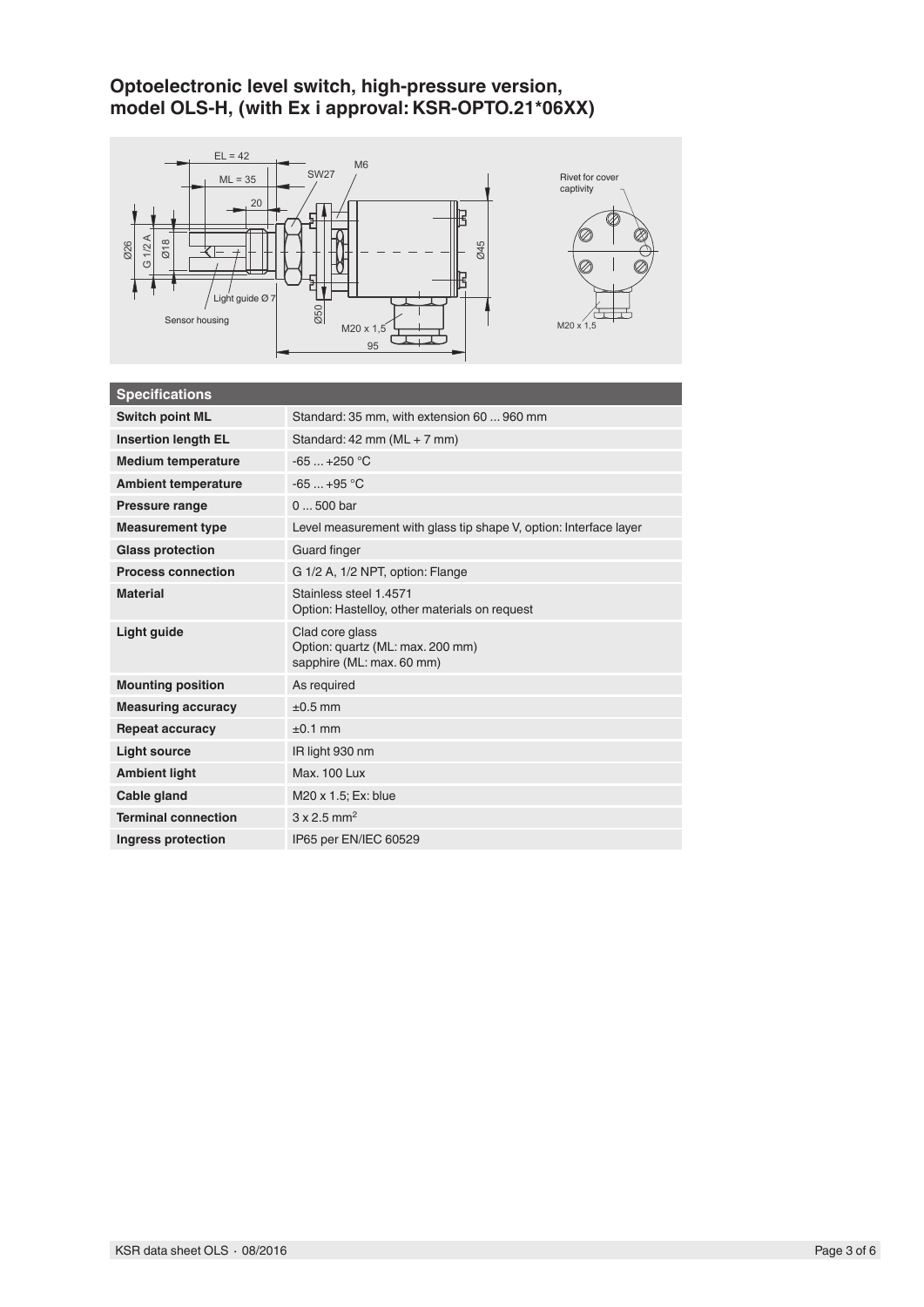#### 11: KS **Optoelectronic level switch, high-pressure version, model OLS-H, (with Ex i approval: KSR-OPTO.21\*06XX)**



| $EL = 42$<br>M <sub>6</sub><br><b>SW27</b><br>Rivet for cover<br>$ML = 35$                                                                                  |  |
|-------------------------------------------------------------------------------------------------------------------------------------------------------------|--|
| captivity<br>20<br>₹<br>$G$ 1/2 A<br>018<br>026<br>Ø45<br>Light guide Ø 7<br>050<br>Sensor housing<br>M20 x 1,5<br>$M20 \times 1,5$<br>95                   |  |
| <b>Specifications</b>                                                                                                                                       |  |
| <b>Switch point ML</b><br>Standard: 35 mm, with extension 60  960 mm                                                                                        |  |
| <b>Insertion length EL</b><br>Standard: 42 mm (ML + 7 mm)                                                                                                   |  |
| <b>Medium temperature</b><br>$-65+250$ °C                                                                                                                   |  |
| $-65+95$ °C<br><b>Ambient temperature</b>                                                                                                                   |  |
| $0500$ bar<br>Pressure range                                                                                                                                |  |
| Level measurement with glass tip shape V, option: Interface layer<br><b>Measurement type</b>                                                                |  |
| <b>Guard finger</b><br><b>Glass protection</b>                                                                                                              |  |
| G 1/2 A, 1/2 NPT, option: Flange<br><b>Process connection</b><br><b>Material</b><br>Stainless steel 1.4571<br>Option: Hastelloy, other materials on request |  |
| <b>Light guide</b><br>Clad core glass<br>Option: quartz (ML: max. 200 mm)<br>sapphire (ML: max. 60 mm)                                                      |  |
| <b>Mounting position</b><br>As required                                                                                                                     |  |
| <b>Measuring accuracy</b><br>$±0.5$ mm                                                                                                                      |  |
| Repeat accuracy<br>$±0.1$ mm                                                                                                                                |  |
| <b>Light source</b><br>IR light 930 nm                                                                                                                      |  |
| <b>Max. 100 Lux</b><br><b>Ambient light</b>                                                                                                                 |  |
| Cable gland<br>M20 x 1.5; Ex: blue                                                                                                                          |  |
| <b>Terminal connection</b><br>$3 \times 2.5$ mm <sup>2</sup>                                                                                                |  |
| IP65 per EN/IEC 60529<br>Ingress protection                                                                                                                 |  |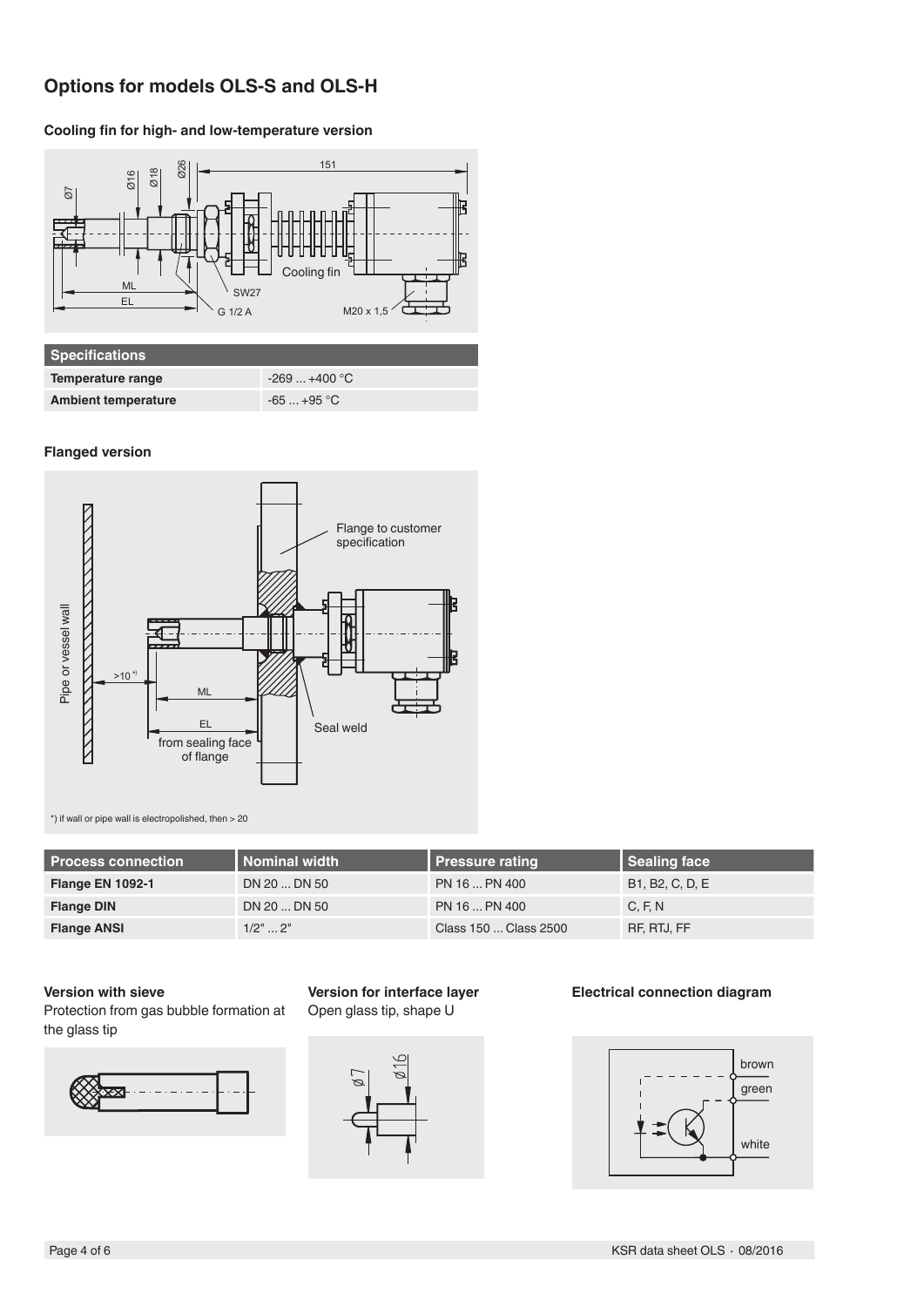# **Options for models OLS-S and OLS-H**

## **Cooling fin for high- and low-temperature version**



Ambient temperature  $-65...+95$  °C

### **Flanged version**



\*) if wall or pipe wall is electropolished, then > 20

| <b>Process connection</b> | I Nominal width | <b>Pressure rating</b> | Sealing face    |
|---------------------------|-----------------|------------------------|-----------------|
| <b>Flange EN 1092-1</b>   | DN 20  DN 50    | PN 16  PN 400          | B1, B2, C, D, E |
| <b>Flange DIN</b>         | DN 20  DN 50    | PN 16  PN 400          | C. F. N         |
| <b>Flange ANSI</b>        | $1/2$ " $2$ "   | Class 150  Class 2500  | RF, RTJ, FF     |

### **Version with sieve**

Protection from gas bubble formation at the glass tip



#### **Version for interface layer** Open glass tip, shape U



#### **Electrical connection diagram**

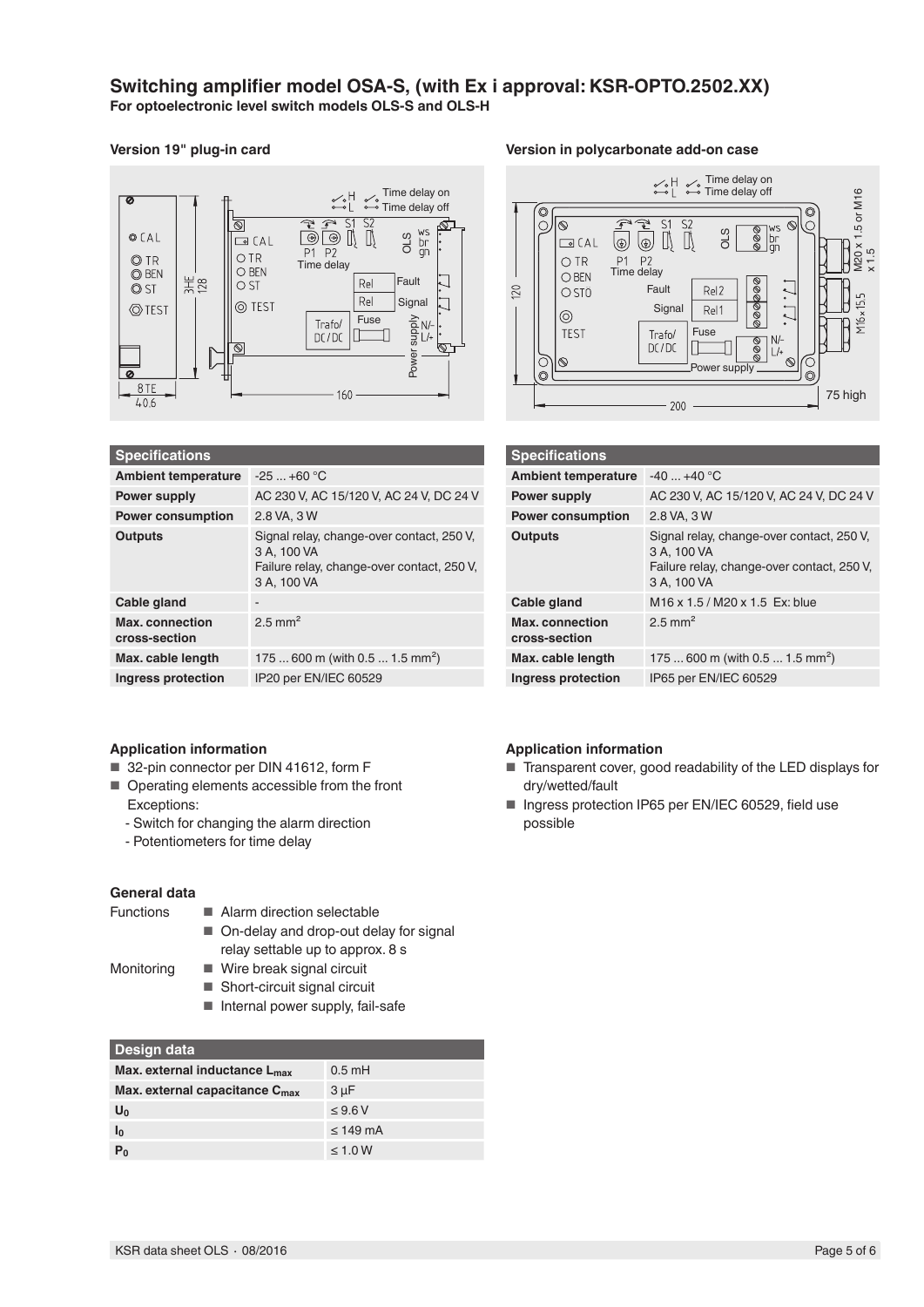## **Switching amplifier model OSA-S, (with Ex i approval: KSR-OPTO.2502.XX) For optoelectronic level switch models OLS-S and OLS-H**



#### **Version 19" plug-in card Version in polycarbonate add-on case**



| <b>Specifications</b>                   |                                                                                                                       |
|-----------------------------------------|-----------------------------------------------------------------------------------------------------------------------|
| <b>Ambient temperature</b>              | $-25+60 °C$                                                                                                           |
| Power supply                            | AC 230 V, AC 15/120 V, AC 24 V, DC 24 V                                                                               |
| <b>Power consumption</b>                | 2.8 VA, 3 W                                                                                                           |
| <b>Outputs</b>                          | Signal relay, change-over contact, 250 V,<br>3 A. 100 VA<br>Failure relay, change-over contact, 250 V,<br>3 A, 100 VA |
| Cable gland                             |                                                                                                                       |
| <b>Max.</b> connection<br>cross-section | $2.5$ mm <sup>2</sup>                                                                                                 |
| Max. cable length                       | 175  600 m (with 0.5  1.5 mm <sup>2</sup> )                                                                           |
| <b>Ingress protection</b>               | IP20 per EN/IEC 60529                                                                                                 |

| <b>Specifications</b>                   |                                                                                                                       |
|-----------------------------------------|-----------------------------------------------------------------------------------------------------------------------|
| <b>Ambient temperature</b>              | $-40+40$ °C                                                                                                           |
| <b>Power supply</b>                     | AC 230 V, AC 15/120 V, AC 24 V, DC 24 V                                                                               |
| <b>Power consumption</b>                | 2.8 VA. 3 W                                                                                                           |
| <b>Outputs</b>                          | Signal relay, change-over contact, 250 V,<br>3 A, 100 VA<br>Failure relay, change-over contact, 250 V,<br>3 A, 100 VA |
| Cable gland                             | M <sub>16</sub> x 1.5 / M <sub>20</sub> x 1.5 Ex: blue                                                                |
| <b>Max.</b> connection<br>cross-section | $2.5$ mm <sup>2</sup>                                                                                                 |
| Max. cable length                       | 175  600 m (with 0.5  1.5 mm <sup>2</sup> )                                                                           |
| Ingress protection                      | IP65 per EN/IEC 60529                                                                                                 |

#### **Application information**

- 32-pin connector per DIN 41612, form F
- Operating elements accessible from the front Exceptions:
	- Switch for changing the alarm direction
	- Potentiometers for time delay

#### **General data**

| <b>Functions</b> | Alarm direction selectable               |
|------------------|------------------------------------------|
|                  | ■ On-delay and drop-out delay for signal |
|                  | relay settable up to approx. 8 s         |
| Monitoring       | ■ Wire break signal circuit              |
|                  | ■ Short-circuit signal circuit           |
|                  | Internal power supply, fail-safe         |
|                  |                                          |

# **Design data**

| <b>Dealyn</b> adid                         |               |
|--------------------------------------------|---------------|
| Max. external inductance L <sub>max</sub>  | $0.5$ mH      |
| Max. external capacitance $C_{\text{max}}$ | $3 \mu F$     |
| $U_0$                                      | $\leq 9.6$ V  |
| I <sub>0</sub>                             | $\leq$ 149 mA |
| $P_0$                                      | $\leq 1.0 W$  |
|                                            |               |

#### **Application information**

- Transparent cover, good readability of the LED displays for dry/wetted/fault
- Ingress protection IP65 per EN/IEC 60529, field use possible